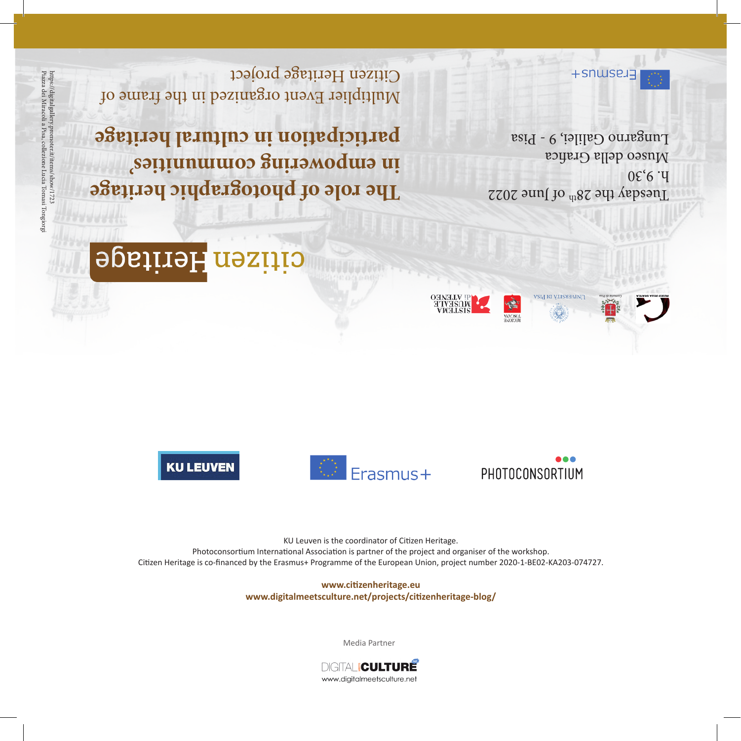

Media Partner

KU Leuven is the coordinator of Citizen Heritage. Photoconsortium International Association is partner of the project and organiser of the workshop. Citizen Heritage is co-financed by the Erasmus+ Programme of the European Union, project number 2020-1-BE02-KA203-074727.

> **www.citizenheritage.eu www.digitalmeetsculture.net/projects/citizenheritage-blog/**







citizen Heritage|











**The role of photographic heritage in empowering communities' participation in cultural heritage**

Citizen Heritage project ar Princ Multiplier Event organized in the frame of  $+$ snwseJ

Museo della Grafica

Lungarno Galilei, 9 - Pisa

h. 9,30

Tuesday the 2022 of June 2022